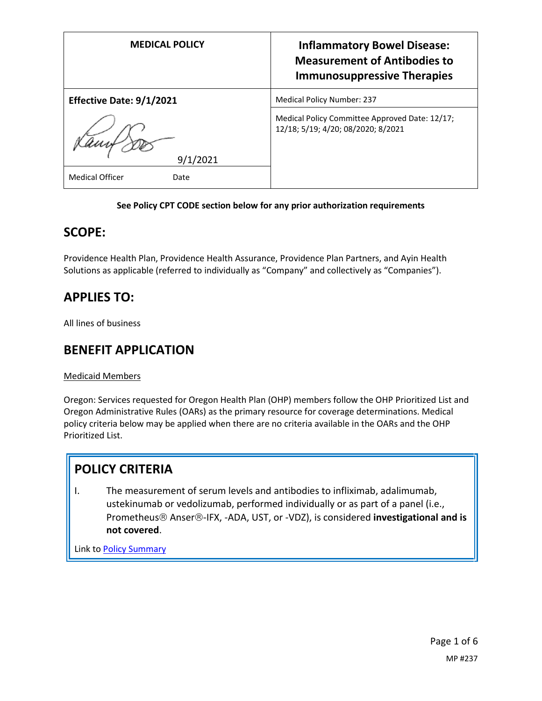| <b>MEDICAL POLICY</b>          | <b>Inflammatory Bowel Disease:</b><br><b>Measurement of Antibodies to</b><br><b>Immunosuppressive Therapies</b> |
|--------------------------------|-----------------------------------------------------------------------------------------------------------------|
| Effective Date: 9/1/2021       | <b>Medical Policy Number: 237</b>                                                                               |
| 9/1/2021                       | Medical Policy Committee Approved Date: 12/17;<br>12/18; 5/19; 4/20; 08/2020; 8/2021                            |
| <b>Medical Officer</b><br>Date |                                                                                                                 |

### **See Policy CPT CODE section below for any prior authorization requirements**

### **SCOPE:**

Providence Health Plan, Providence Health Assurance, Providence Plan Partners, and Ayin Health Solutions as applicable (referred to individually as "Company" and collectively as "Companies").

### **APPLIES TO:**

All lines of business

### **BENEFIT APPLICATION**

Medicaid Members

Oregon: Services requested for Oregon Health Plan (OHP) members follow the OHP Prioritized List and Oregon Administrative Rules (OARs) as the primary resource for coverage determinations. Medical policy criteria below may be applied when there are no criteria available in the OARs and the OHP Prioritized List.

### **POLICY CRITERIA**

I. The measurement of serum levels and antibodies to infliximab, adalimumab, ustekinumab or vedolizumab, performed individually or as part of a panel (i.e., Prometheus<sup>®</sup> Anser®-IFX, -ADA, UST, or -VDZ), is considered **investigational and is not covered**.

Link t[o Policy Summary](#page-3-0)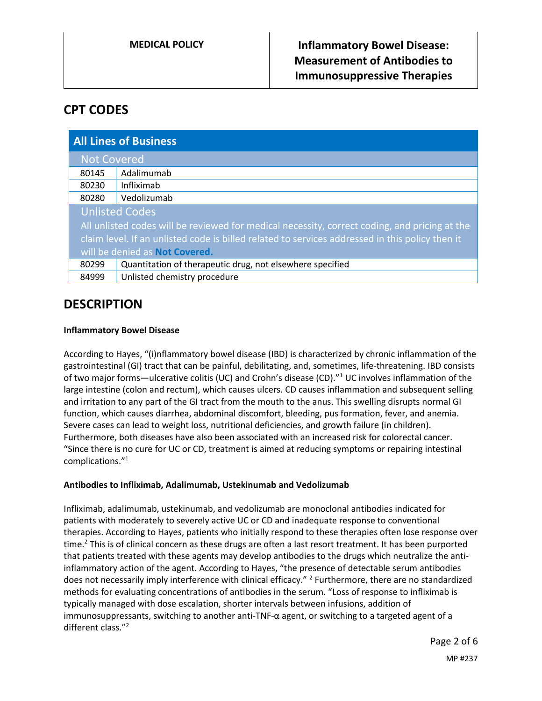### **CPT CODES**

| <b>All Lines of Business</b>                                                                    |                                                           |
|-------------------------------------------------------------------------------------------------|-----------------------------------------------------------|
| <b>Not Covered</b>                                                                              |                                                           |
| 80145                                                                                           | Adalimumab                                                |
| 80230                                                                                           | Infliximab                                                |
| 80280                                                                                           | Vedolizumab                                               |
| <b>Unlisted Codes</b>                                                                           |                                                           |
| All unlisted codes will be reviewed for medical necessity, correct coding, and pricing at the   |                                                           |
| claim level. If an unlisted code is billed related to services addressed in this policy then it |                                                           |
| will be denied as <b>Not Covered.</b>                                                           |                                                           |
| 80299                                                                                           | Quantitation of therapeutic drug, not elsewhere specified |
| 84999                                                                                           | Unlisted chemistry procedure                              |

### **DESCRIPTION**

#### **Inflammatory Bowel Disease**

According to Hayes, "(i)nflammatory bowel disease (IBD) is characterized by chronic inflammation of the gastrointestinal (GI) tract that can be painful, debilitating, and, sometimes, life-threatening. IBD consists of two major forms—ulcerative colitis (UC) and Crohn's disease (CD)."<sup>1</sup> UC involves inflammation of the large intestine (colon and rectum), which causes ulcers. CD causes inflammation and subsequent selling and irritation to any part of the GI tract from the mouth to the anus. This swelling disrupts normal GI function, which causes diarrhea, abdominal discomfort, bleeding, pus formation, fever, and anemia. Severe cases can lead to weight loss, nutritional deficiencies, and growth failure (in children). Furthermore, both diseases have also been associated with an increased risk for colorectal cancer. "Since there is no cure for UC or CD, treatment is aimed at reducing symptoms or repairing intestinal complications." 1

### **Antibodies to Infliximab, Adalimumab, Ustekinumab and Vedolizumab**

Infliximab, adalimumab, ustekinumab, and vedolizumab are monoclonal antibodies indicated for patients with moderately to severely active UC or CD and inadequate response to conventional therapies. According to Hayes, patients who initially respond to these therapies often lose response over time.<sup>2</sup> This is of clinical concern as these drugs are often a last resort treatment. It has been purported that patients treated with these agents may develop antibodies to the drugs which neutralize the antiinflammatory action of the agent. According to Hayes, "the presence of detectable serum antibodies does not necessarily imply interference with clinical efficacy." <sup>2</sup> Furthermore, there are no standardized methods for evaluating concentrations of antibodies in the serum. "Loss of response to infliximab is typically managed with dose escalation, shorter intervals between infusions, addition of immunosuppressants, switching to another anti-TNF-α agent, or switching to a targeted agent of a different class." 2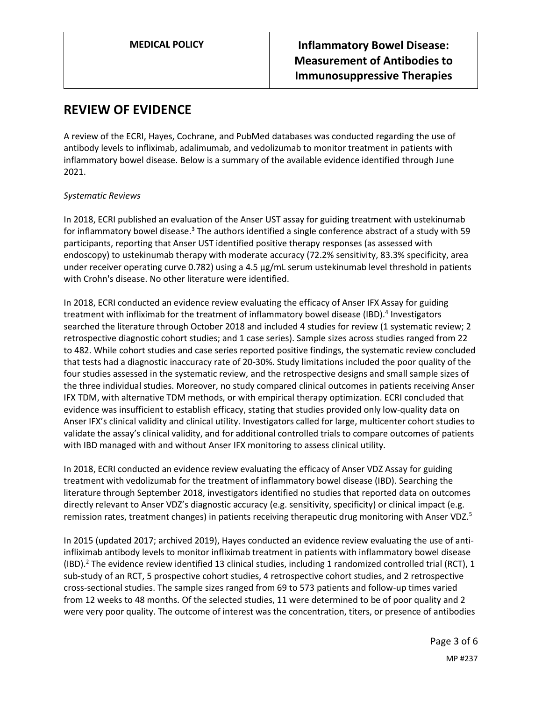### **REVIEW OF EVIDENCE**

A review of the ECRI, Hayes, Cochrane, and PubMed databases was conducted regarding the use of antibody levels to infliximab, adalimumab, and vedolizumab to monitor treatment in patients with inflammatory bowel disease. Below is a summary of the available evidence identified through June 2021.

#### *Systematic Reviews*

In 2018, ECRI published an evaluation of the Anser UST assay for guiding treatment with ustekinumab for inflammatory bowel disease.<sup>3</sup> The authors identified a single conference abstract of a study with 59 participants, reporting that Anser UST identified positive therapy responses (as assessed with endoscopy) to ustekinumab therapy with moderate accuracy (72.2% sensitivity, 83.3% specificity, area under receiver operating curve 0.782) using a 4.5 µg/mL serum ustekinumab level threshold in patients with Crohn's disease. No other literature were identified.

In 2018, ECRI conducted an evidence review evaluating the efficacy of Anser IFX Assay for guiding treatment with infliximab for the treatment of inflammatory bowel disease (IBD).<sup>4</sup> Investigators searched the literature through October 2018 and included 4 studies for review (1 systematic review; 2 retrospective diagnostic cohort studies; and 1 case series). Sample sizes across studies ranged from 22 to 482. While cohort studies and case series reported positive findings, the systematic review concluded that tests had a diagnostic inaccuracy rate of 20-30%. Study limitations included the poor quality of the four studies assessed in the systematic review, and the retrospective designs and small sample sizes of the three individual studies. Moreover, no study compared clinical outcomes in patients receiving Anser IFX TDM, with alternative TDM methods, or with empirical therapy optimization. ECRI concluded that evidence was insufficient to establish efficacy, stating that studies provided only low-quality data on Anser IFX's clinical validity and clinical utility. Investigators called for large, multicenter cohort studies to validate the assay's clinical validity, and for additional controlled trials to compare outcomes of patients with IBD managed with and without Anser IFX monitoring to assess clinical utility.

In 2018, ECRI conducted an evidence review evaluating the efficacy of Anser VDZ Assay for guiding treatment with vedolizumab for the treatment of inflammatory bowel disease (IBD). Searching the literature through September 2018, investigators identified no studies that reported data on outcomes directly relevant to Anser VDZ's diagnostic accuracy (e.g. sensitivity, specificity) or clinical impact (e.g. remission rates, treatment changes) in patients receiving therapeutic drug monitoring with Anser VDZ.<sup>5</sup>

In 2015 (updated 2017; archived 2019), Hayes conducted an evidence review evaluating the use of antiinfliximab antibody levels to monitor infliximab treatment in patients with inflammatory bowel disease (IBD).<sup>2</sup> The evidence review identified 13 clinical studies, including 1 randomized controlled trial (RCT), 1 sub-study of an RCT, 5 prospective cohort studies, 4 retrospective cohort studies, and 2 retrospective cross-sectional studies. The sample sizes ranged from 69 to 573 patients and follow-up times varied from 12 weeks to 48 months. Of the selected studies, 11 were determined to be of poor quality and 2 were very poor quality. The outcome of interest was the concentration, titers, or presence of antibodies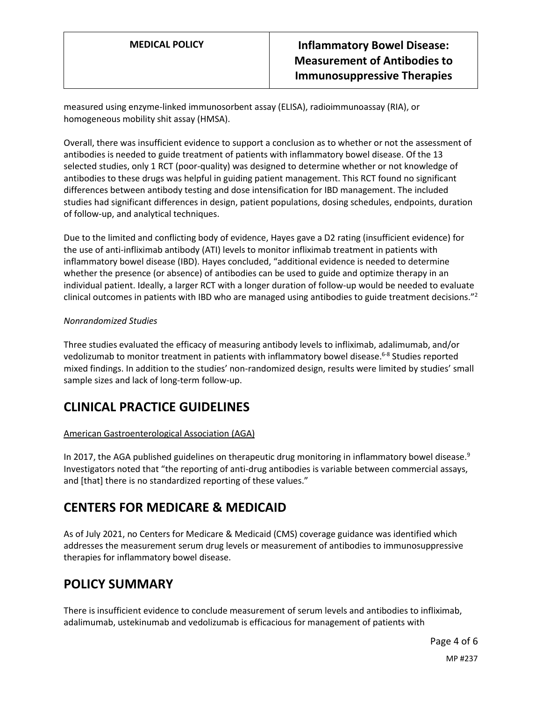measured using enzyme-linked immunosorbent assay (ELISA), radioimmunoassay (RIA), or homogeneous mobility shit assay (HMSA).

Overall, there was insufficient evidence to support a conclusion as to whether or not the assessment of antibodies is needed to guide treatment of patients with inflammatory bowel disease. Of the 13 selected studies, only 1 RCT (poor-quality) was designed to determine whether or not knowledge of antibodies to these drugs was helpful in guiding patient management. This RCT found no significant differences between antibody testing and dose intensification for IBD management. The included studies had significant differences in design, patient populations, dosing schedules, endpoints, duration of follow-up, and analytical techniques.

Due to the limited and conflicting body of evidence, Hayes gave a D2 rating (insufficient evidence) for the use of anti-infliximab antibody (ATI) levels to monitor infliximab treatment in patients with inflammatory bowel disease (IBD). Hayes concluded, "additional evidence is needed to determine whether the presence (or absence) of antibodies can be used to guide and optimize therapy in an individual patient. Ideally, a larger RCT with a longer duration of follow-up would be needed to evaluate clinical outcomes in patients with IBD who are managed using antibodies to guide treatment decisions."<sup>2</sup>

#### *Nonrandomized Studies*

Three studies evaluated the efficacy of measuring antibody levels to infliximab, adalimumab, and/or vedolizumab to monitor treatment in patients with inflammatory bowel disease.<sup>6-8</sup> Studies reported mixed findings. In addition to the studies' non-randomized design, results were limited by studies' small sample sizes and lack of long-term follow-up.

### **CLINICAL PRACTICE GUIDELINES**

### American Gastroenterological Association (AGA)

In 2017, the AGA published guidelines on therapeutic drug monitoring in inflammatory bowel disease.<sup>9</sup> Investigators noted that "the reporting of anti-drug antibodies is variable between commercial assays, and [that] there is no standardized reporting of these values."

### <span id="page-3-0"></span>**CENTERS FOR MEDICARE & MEDICAID**

As of July 2021, no Centers for Medicare & Medicaid (CMS) coverage guidance was identified which addresses the measurement serum drug levels or measurement of antibodies to immunosuppressive therapies for inflammatory bowel disease.

### **POLICY SUMMARY**

There is insufficient evidence to conclude measurement of serum levels and antibodies to infliximab, adalimumab, ustekinumab and vedolizumab is efficacious for management of patients with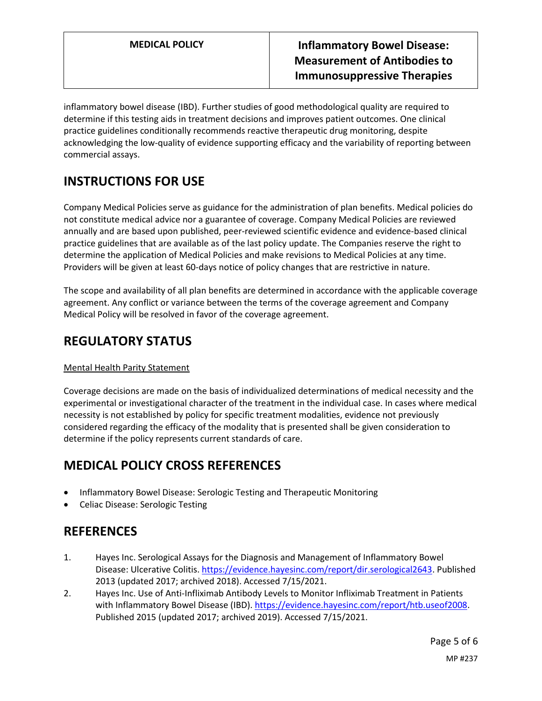inflammatory bowel disease (IBD). Further studies of good methodological quality are required to determine if this testing aids in treatment decisions and improves patient outcomes. One clinical practice guidelines conditionally recommends reactive therapeutic drug monitoring, despite acknowledging the low-quality of evidence supporting efficacy and the variability of reporting between commercial assays.

# **INSTRUCTIONS FOR USE**

Company Medical Policies serve as guidance for the administration of plan benefits. Medical policies do not constitute medical advice nor a guarantee of coverage. Company Medical Policies are reviewed annually and are based upon published, peer-reviewed scientific evidence and evidence-based clinical practice guidelines that are available as of the last policy update. The Companies reserve the right to determine the application of Medical Policies and make revisions to Medical Policies at any time. Providers will be given at least 60-days notice of policy changes that are restrictive in nature.

The scope and availability of all plan benefits are determined in accordance with the applicable coverage agreement. Any conflict or variance between the terms of the coverage agreement and Company Medical Policy will be resolved in favor of the coverage agreement.

## **REGULATORY STATUS**

### Mental Health Parity Statement

Coverage decisions are made on the basis of individualized determinations of medical necessity and the experimental or investigational character of the treatment in the individual case. In cases where medical necessity is not established by policy for specific treatment modalities, evidence not previously considered regarding the efficacy of the modality that is presented shall be given consideration to determine if the policy represents current standards of care.

# **MEDICAL POLICY CROSS REFERENCES**

- Inflammatory Bowel Disease: Serologic Testing and Therapeutic Monitoring
- Celiac Disease: Serologic Testing

### **REFERENCES**

- 1. Hayes Inc. Serological Assays for the Diagnosis and Management of Inflammatory Bowel Disease: Ulcerative Colitis. [https://evidence.hayesinc.com/report/dir.serological2643.](https://evidence.hayesinc.com/report/dir.serological2643) Published 2013 (updated 2017; archived 2018). Accessed 7/15/2021.
- 2. Hayes Inc. Use of Anti-Infliximab Antibody Levels to Monitor Infliximab Treatment in Patients with Inflammatory Bowel Disease (IBD). [https://evidence.hayesinc.com/report/htb.useof2008.](https://evidence.hayesinc.com/report/htb.useof2008) Published 2015 (updated 2017; archived 2019). Accessed 7/15/2021.